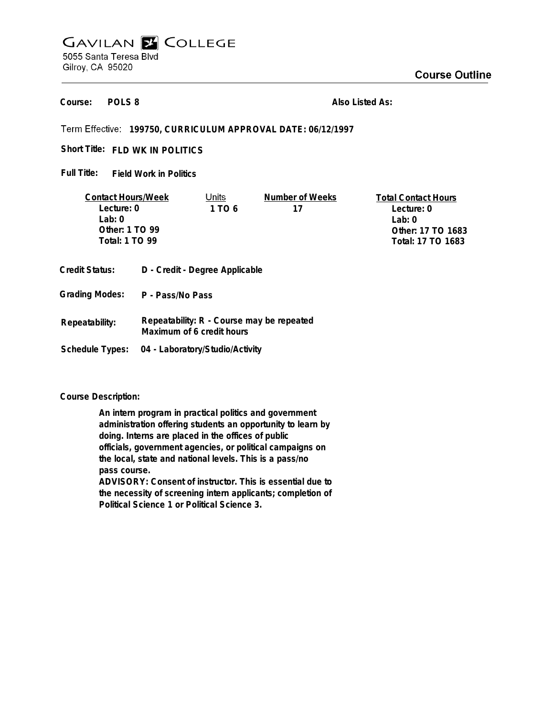# **GAVILAN E COLLEGE** 5055 Santa Teresa Blvd Gilroy, CA 95020

**POLS 8 Course:**

**Also Listed As:**

## **199750, CURRICULUM APPROVAL DATE: 06/12/1997**

Short Title: FLD WK IN POLITICS

**Field Work in Politics Full Title:**

| <b>Contact Hours/Week</b>                        |  | Units  | Number of Weeks | <b>Total Contact Hours</b> |
|--------------------------------------------------|--|--------|-----------------|----------------------------|
| Lecture: 0                                       |  | 1 TO 6 | 17              | Lecture: 0                 |
| $1$ ab: $0$                                      |  |        |                 | Lab: $0$                   |
| Other: 1 TO 99                                   |  |        |                 | Other: 17 TO 1683          |
| Total: 1 TO 99                                   |  |        |                 | Total: 17 TO 1683          |
| D - Credit - Degree Applicable<br>Credit Status: |  |        |                 |                            |

- **Grading Modes: P Pass/No Pass**
- **Repeatability: R Course may be repeated Maximum of 6 credit hours Repeatability:**
- **Schedule Types: 04 - Laboratory/Studio/Activity**

**Course Description:**

**An intern program in practical politics and government administration offering students an opportunity to learn by doing. Interns are placed in the offices of public officials, government agencies, or political campaigns on the local, state and national levels. This is a pass/no pass course. ADVISORY: Consent of instructor. This is essential due to**

**the necessity of screening intern applicants; completion of Political Science 1 or Political Science 3.**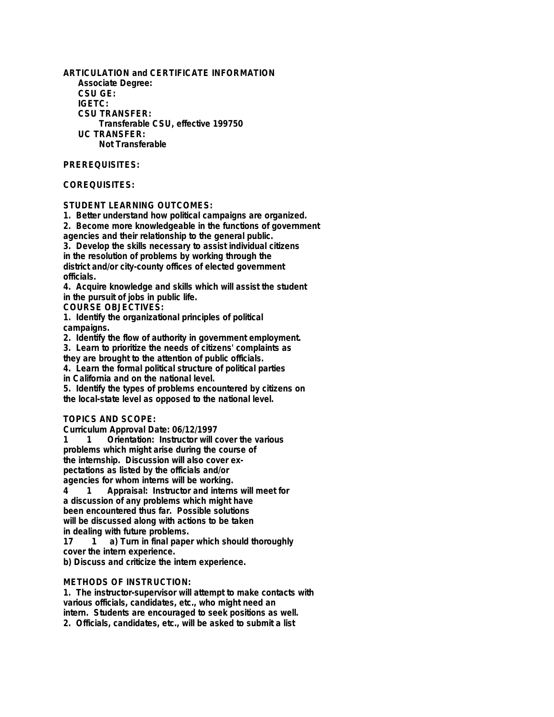**ARTICULATION and CERTIFICATE INFORMATION Associate Degree: CSU GE: IGETC: CSU TRANSFER: Transferable CSU, effective 199750 UC TRANSFER: Not Transferable**

### **PREREQUISITES:**

### **COREQUISITES:**

## **STUDENT LEARNING OUTCOMES:**

**1. Better understand how political campaigns are organized.**

**2. Become more knowledgeable in the functions of government agencies and their relationship to the general public.**

**3. Develop the skills necessary to assist individual citizens in the resolution of problems by working through the district and/or city-county offices of elected government officials.**

**4. Acquire knowledge and skills which will assist the student in the pursuit of jobs in public life.**

**COURSE OBJECTIVES:**

**1. Identify the organizational principles of political campaigns.**

**2. Identify the flow of authority in government employment.**

**3. Learn to prioritize the needs of citizens' complaints as**

**they are brought to the attention of public officials.**

**4. Learn the formal political structure of political parties**

**in California and on the national level.**

**5. Identify the types of problems encountered by citizens on the local-state level as opposed to the national level.**

#### **TOPICS AND SCOPE:**

**Curriculum Approval Date: 06/12/1997**

**1 1 Orientation: Instructor will cover the various problems which might arise during the course of the internship. Discussion will also cover expectations as listed by the officials and/or agencies for whom interns will be working.**

**4 1 Appraisal: Instructor and interns will meet for a discussion of any problems which might have been encountered thus far. Possible solutions will be discussed along with actions to be taken in dealing with future problems.**

**17 1 a) Turn in final paper which should thoroughly cover the intern experience.**

**b) Discuss and criticize the intern experience.**

### **METHODS OF INSTRUCTION:**

**1. The instructor-supervisor will attempt to make contacts with various officials, candidates, etc., who might need an intern. Students are encouraged to seek positions as well. 2. Officials, candidates, etc., will be asked to submit a list**